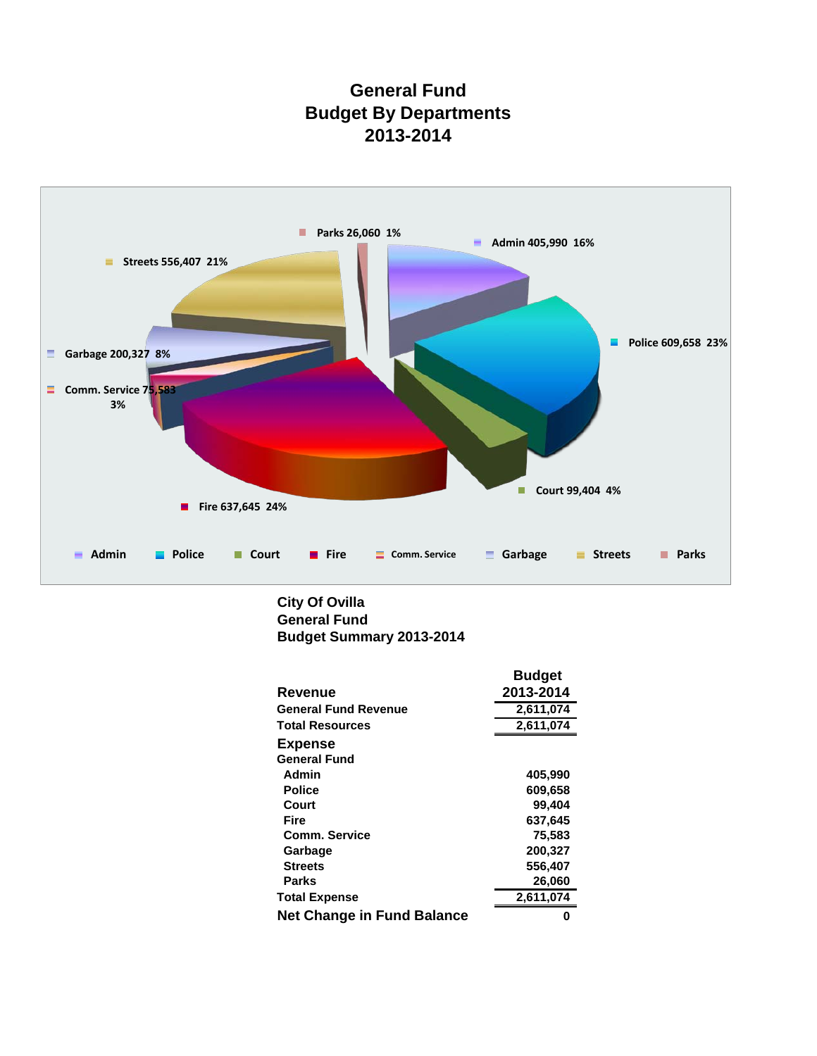# **General Fund Budget By Departments 2013-2014**



## **General Fund City Of Ovilla Budget Summary 2013-2014**

|                                   | <b>Budget</b> |
|-----------------------------------|---------------|
| Revenue                           | 2013-2014     |
| <b>General Fund Revenue</b>       | 2,611,074     |
| <b>Total Resources</b>            | 2,611,074     |
| <b>Expense</b>                    |               |
| <b>General Fund</b>               |               |
| Admin                             | 405,990       |
| <b>Police</b>                     | 609,658       |
| Court                             | 99,404        |
| <b>Fire</b>                       | 637,645       |
| <b>Comm. Service</b>              | 75,583        |
| Garbage                           | 200,327       |
| <b>Streets</b>                    | 556,407       |
| <b>Parks</b>                      | 26,060        |
| <b>Total Expense</b>              | 2,611,074     |
| <b>Net Change in Fund Balance</b> |               |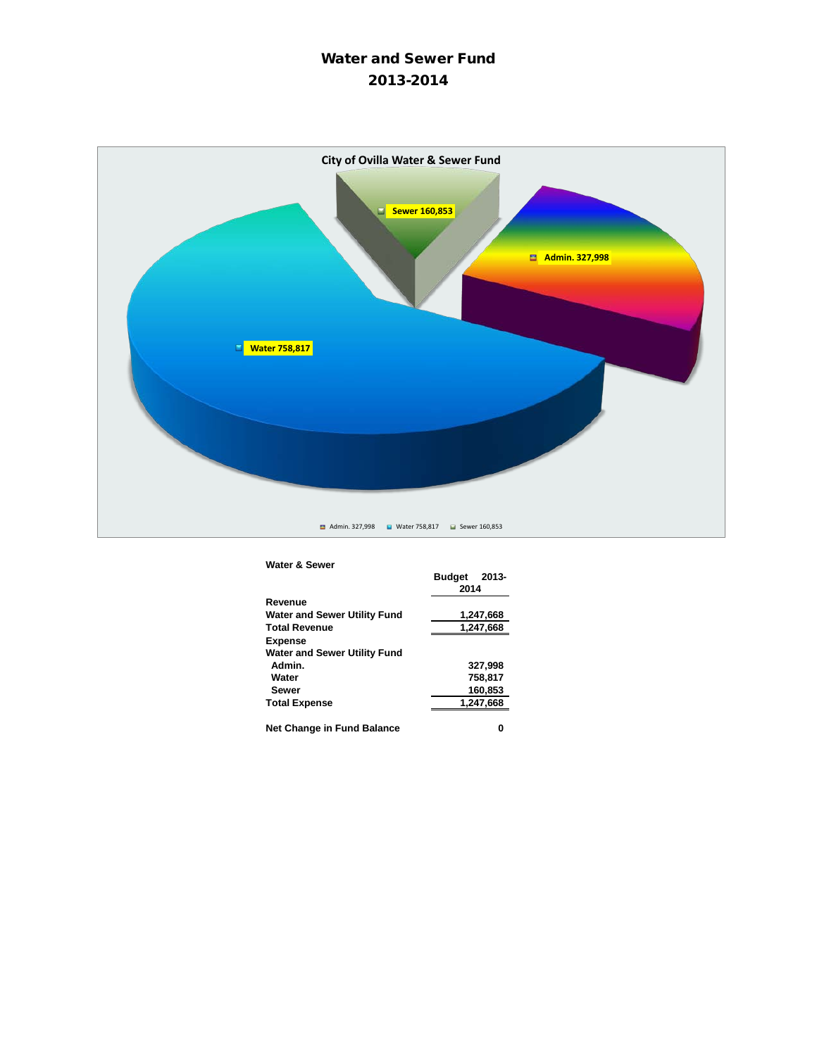# Water and Sewer Fund 2013-2014



#### **Water & Sewer**

| naic a vewei                 |               |           |  |
|------------------------------|---------------|-----------|--|
|                              | <b>Budget</b> | 2013-     |  |
|                              | 2014          |           |  |
| Revenue                      |               |           |  |
| Water and Sewer Utility Fund |               | 1,247,668 |  |
| <b>Total Revenue</b>         | 1,247,668     |           |  |
| <b>Expense</b>               |               |           |  |
| Water and Sewer Utility Fund |               |           |  |
| Admin.                       |               | 327,998   |  |
| Water                        |               | 758.817   |  |
| <b>Sewer</b>                 |               | 160.853   |  |
| <b>Total Expense</b>         |               | 1,247,668 |  |
|                              |               |           |  |
| Net Change in Fund Balance   |               |           |  |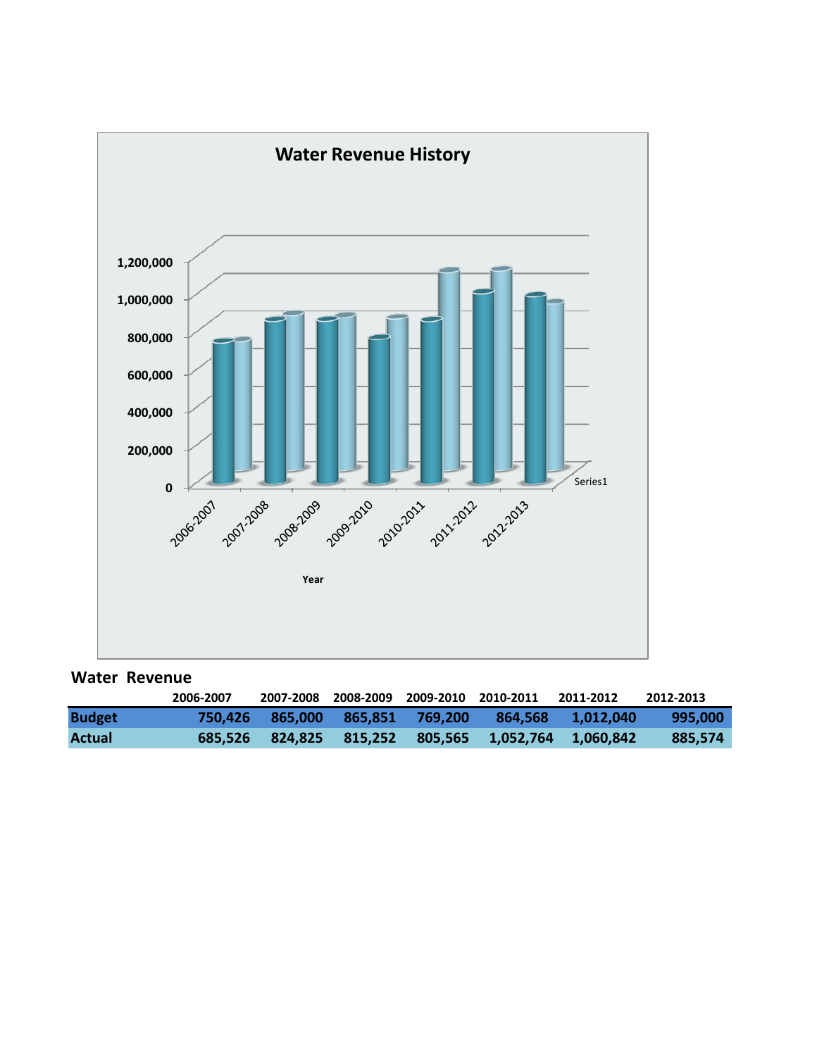

## **Water Revenue**

|               | 2006-2007 |                 |  | 2007-2008 2008-2009 2009-2010 2010-2011 2011-2012 |                                                     | 2012-2013 |
|---------------|-----------|-----------------|--|---------------------------------------------------|-----------------------------------------------------|-----------|
| <b>Budget</b> |           | 750.426 865.000 |  |                                                   | 865.851 769.200 864.568 1.012.040                   | 995.000   |
| Actual        |           |                 |  |                                                   | 685,526 824,825 815,252 805,565 1,052,764 1,060,842 | 885.574   |